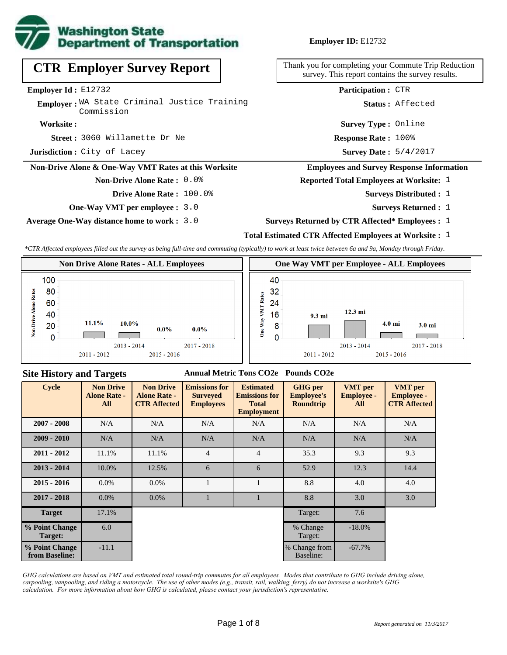

# **CTR Employer Survey Report**

**Employer Id :** E12732

**Employer:** WA State Criminal Justice Training Commission

#### **Worksite :**

3060 Willamette Dr Ne **Response Rate : Street :**

**Jurisdiction :** City of Lacey

### **Non-Drive Alone & One-Way VMT Rates at this Worksite**

### **Non-Drive Alone Rate :** 0.0%

**Drive Alone Rate :** 100.0%

**One-Way VMT per employee :** 3.0

**Average One-Way distance home to work :** 3.0

**Employer ID:** E12732

Thank you for completing your Commute Trip Reduction survey. This report contains the survey results.

**Participation :** CTR

**Status :** Affected

**Survey Type :** Online

Response Rate: 100%

Survey Date:  $5/4/2017$ 

#### **Employees and Survey Response Information**

#### **Reported Total Employees at Worksite:** 1

- Surveys Distributed : 1
	- **Surveys Returned :** 1
- **Surveys Returned by CTR Affected\* Employees :** 1

### **Total Estimated CTR Affected Employees at Worksite :** 1

*\*CTR Affected employees filled out the survey as being full-time and commuting (typically) to work at least twice between 6a and 9a, Monday through Friday.*



### **Site History and Targets**

#### **Annual Metric Tons CO2e Pounds CO2e**

| <b>Cycle</b>                     | <b>Non Drive</b><br><b>Alone Rate -</b><br>All | <b>Non Drive</b><br><b>Alone Rate -</b><br><b>CTR Affected</b> | <b>Emissions for</b><br><b>Surveyed</b><br><b>Employees</b> | <b>Estimated</b><br><b>Emissions for</b><br><b>Total</b><br><b>Employment</b> | <b>GHG</b> per<br><b>Employee's</b><br><b>Roundtrip</b> | <b>VMT</b> per<br><b>Employee -</b><br>All | <b>VMT</b> per<br><b>Employee -</b><br><b>CTR Affected</b> |
|----------------------------------|------------------------------------------------|----------------------------------------------------------------|-------------------------------------------------------------|-------------------------------------------------------------------------------|---------------------------------------------------------|--------------------------------------------|------------------------------------------------------------|
| $2007 - 2008$                    | N/A                                            | N/A                                                            | N/A                                                         |                                                                               | N/A                                                     | N/A                                        | N/A                                                        |
| $2009 - 2010$                    | N/A                                            | N/A                                                            | N/A                                                         | N/A                                                                           | N/A                                                     | N/A                                        | N/A                                                        |
| $2011 - 2012$                    | 11.1%                                          | 11.1%                                                          | $\overline{4}$                                              | $\overline{4}$                                                                | 35.3                                                    | 9.3                                        | 9.3                                                        |
| $2013 - 2014$                    | 10.0%                                          | 12.5%                                                          | 6                                                           | 6                                                                             | 52.9                                                    | 12.3                                       | 14.4                                                       |
| $2015 - 2016$                    | $0.0\%$                                        | $0.0\%$                                                        | 1                                                           |                                                                               | 8.8                                                     | 4.0                                        | 4.0                                                        |
| $2017 - 2018$                    | $0.0\%$                                        | $0.0\%$                                                        |                                                             |                                                                               | 8.8                                                     | 3.0                                        | 3.0                                                        |
| <b>Target</b>                    | 17.1%                                          |                                                                |                                                             |                                                                               | Target:                                                 | 7.6                                        |                                                            |
| % Point Change<br>Target:        | 6.0                                            |                                                                |                                                             |                                                                               | % Change<br>Target:                                     | $-18.0\%$                                  |                                                            |
| % Point Change<br>from Baseline: | $-11.1$                                        |                                                                |                                                             |                                                                               | % Change from<br>Baseline:                              | $-67.7\%$                                  |                                                            |

*GHG calculations are based on VMT and estimated total round-trip commutes for all employees. Modes that contribute to GHG include driving alone, carpooling, vanpooling, and riding a motorcycle. The use of other modes (e.g., transit, rail, walking, ferry) do not increase a worksite's GHG calculation. For more information about how GHG is calculated, please contact your jurisdiction's representative.*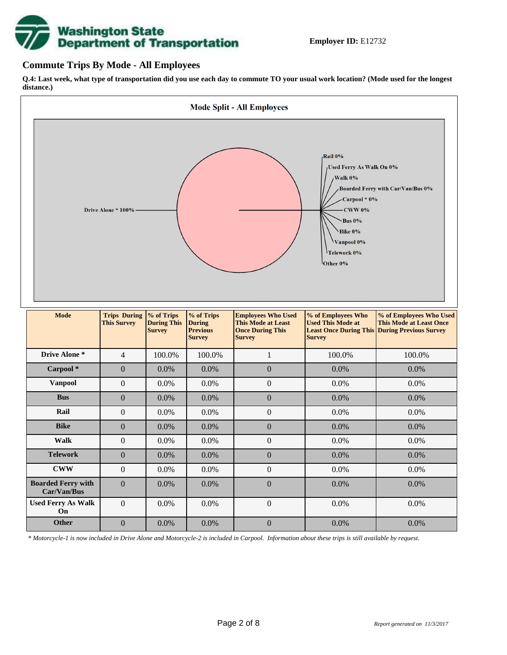

## **Commute Trips By Mode - All Employees**

**Q.4: Last week, what type of transportation did you use each day to commute TO your usual work location? (Mode used for the longest distance.)**



*\* Motorcycle-1 is now included in Drive Alone and Motorcycle-2 is included in Carpool. Information about these trips is still available by request.*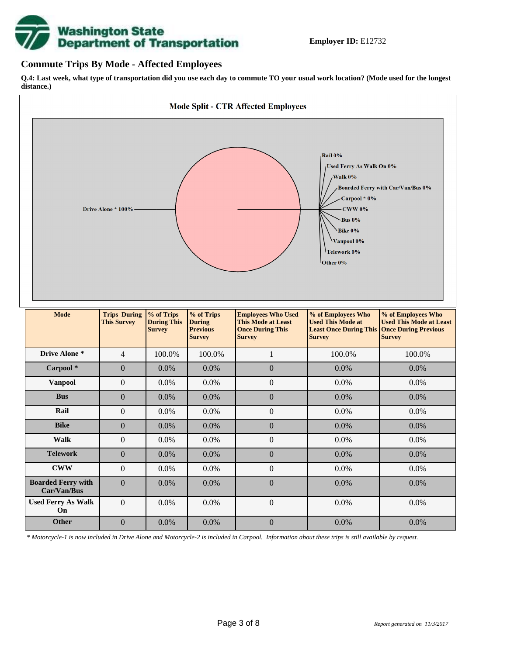

## **Commute Trips By Mode - Affected Employees**

**Q.4: Last week, what type of transportation did you use each day to commute TO your usual work location? (Mode used for the longest distance.)**



*\* Motorcycle-1 is now included in Drive Alone and Motorcycle-2 is included in Carpool. Information about these trips is still available by request.*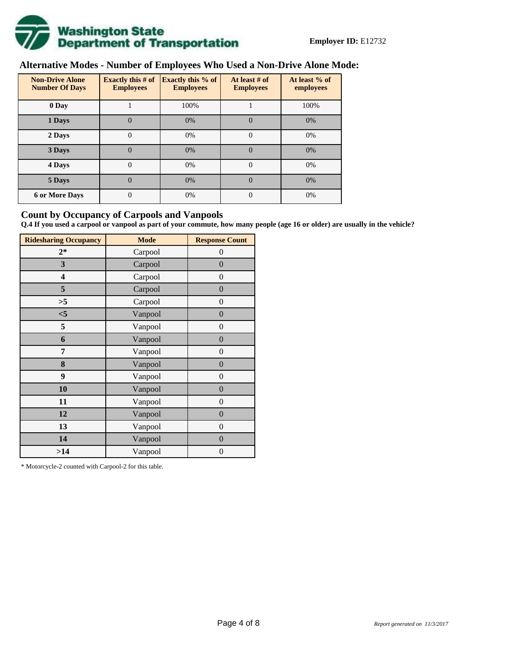

## **Alternative Modes - Number of Employees Who Used a Non-Drive Alone Mode:**

| <b>Non-Drive Alone</b><br><b>Number Of Days</b> | <b>Exactly this # of</b><br><b>Employees</b> | <b>Exactly this % of</b><br><b>Employees</b> | At least # of<br><b>Employees</b> | At least % of<br>employees |
|-------------------------------------------------|----------------------------------------------|----------------------------------------------|-----------------------------------|----------------------------|
| 0 Day                                           |                                              | 100%                                         |                                   | 100%                       |
| 1 Days                                          | $\overline{0}$                               | 0%                                           | $\Omega$                          | 0%                         |
| 2 Days                                          | $\overline{0}$                               | 0%                                           | $\Omega$                          | 0%                         |
| 3 Days                                          | $\theta$                                     | 0%                                           | $\Omega$                          | 0%                         |
| 4 Days                                          | $\theta$                                     | 0%                                           | $\Omega$                          | 0%                         |
| 5 Days                                          | 0                                            | 0%                                           | $\theta$                          | 0%                         |
| <b>6 or More Days</b>                           | 0                                            | 0%                                           | $\Omega$                          | 0%                         |

## **Count by Occupancy of Carpools and Vanpools**

**Q.4 If you used a carpool or vanpool as part of your commute, how many people (age 16 or older) are usually in the vehicle?**

| <b>Ridesharing Occupancy</b> | <b>Mode</b> | <b>Response Count</b> |
|------------------------------|-------------|-----------------------|
| $2*$                         | Carpool     | $\theta$              |
| 3                            | Carpool     | $\overline{0}$        |
| 4                            | Carpool     | $\boldsymbol{0}$      |
| 5                            | Carpool     | $\overline{0}$        |
| >5                           | Carpool     | $\boldsymbol{0}$      |
| $<$ 5                        | Vanpool     | $\overline{0}$        |
| 5                            | Vanpool     | $\overline{0}$        |
| 6                            | Vanpool     | $\boldsymbol{0}$      |
| 7                            | Vanpool     | $\boldsymbol{0}$      |
| 8                            | Vanpool     | $\overline{0}$        |
| 9                            | Vanpool     | $\overline{0}$        |
| 10                           | Vanpool     | $\overline{0}$        |
| 11                           | Vanpool     | $\boldsymbol{0}$      |
| 12                           | Vanpool     | $\boldsymbol{0}$      |
| 13                           | Vanpool     | $\boldsymbol{0}$      |
| 14                           | Vanpool     | $\overline{0}$        |
| >14                          | Vanpool     | $\boldsymbol{0}$      |

\* Motorcycle-2 counted with Carpool-2 for this table.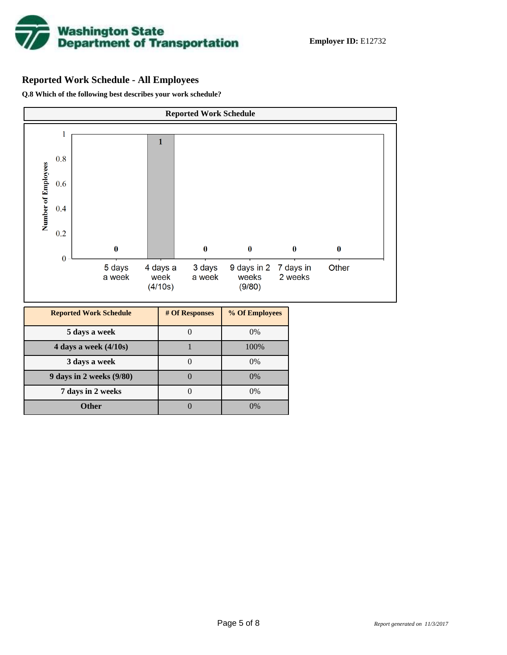

## **Reported Work Schedule - All Employees**

**Q.8 Which of the following best describes your work schedule?**

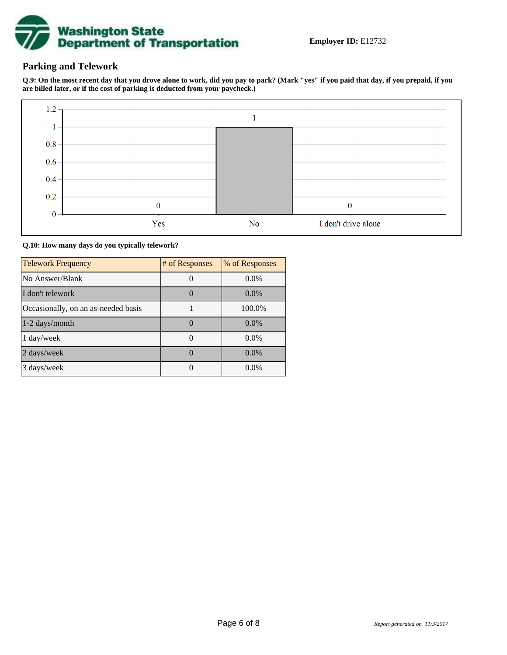

## **Parking and Telework**

**Q.9: On the most recent day that you drove alone to work, did you pay to park? (Mark "yes" if you paid that day, if you prepaid, if you are billed later, or if the cost of parking is deducted from your paycheck.)**



**Q.10: How many days do you typically telework?**

| <b>Telework Frequency</b>           | # of Responses | % of Responses |
|-------------------------------------|----------------|----------------|
| No Answer/Blank                     |                | $0.0\%$        |
| I don't telework                    |                | $0.0\%$        |
| Occasionally, on an as-needed basis |                | 100.0%         |
| 1-2 days/month                      |                | $0.0\%$        |
| 1 day/week                          |                | $0.0\%$        |
| 2 days/week                         |                | $0.0\%$        |
| 3 days/week                         |                | $0.0\%$        |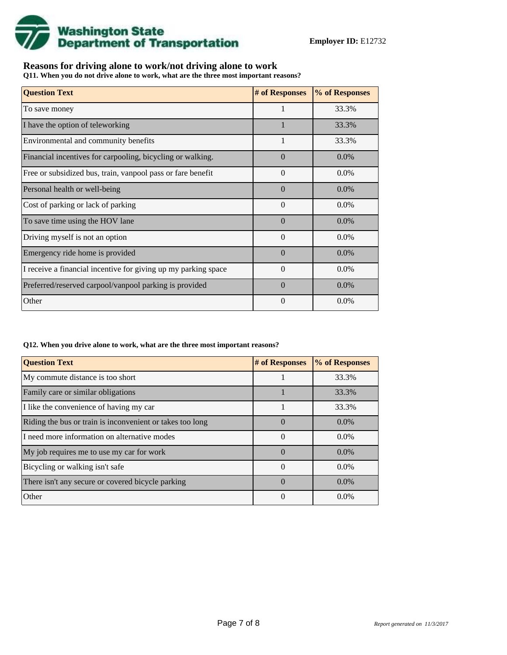

## **Reasons for driving alone to work/not driving alone to work**

**Q11. When you do not drive alone to work, what are the three most important reasons?**

| <b>Question Text</b>                                           | # of Responses | % of Responses |
|----------------------------------------------------------------|----------------|----------------|
| To save money                                                  |                | 33.3%          |
| I have the option of teleworking                               |                | 33.3%          |
| Environmental and community benefits                           | $\mathbf{1}$   | 33.3%          |
| Financial incentives for carpooling, bicycling or walking.     | $\Omega$       | $0.0\%$        |
| Free or subsidized bus, train, vanpool pass or fare benefit    | $\Omega$       | $0.0\%$        |
| Personal health or well-being                                  | $\Omega$       | 0.0%           |
| Cost of parking or lack of parking                             | $\Omega$       | 0.0%           |
| To save time using the HOV lane                                | $\Omega$       | $0.0\%$        |
| Driving myself is not an option                                | $\Omega$       | 0.0%           |
| Emergency ride home is provided                                | $\Omega$       | 0.0%           |
| I receive a financial incentive for giving up my parking space | $\theta$       | $0.0\%$        |
| Preferred/reserved carpool/vanpool parking is provided         | $\Omega$       | 0.0%           |
| Other                                                          | $\theta$       | 0.0%           |

#### **Q12. When you drive alone to work, what are the three most important reasons?**

| <b>Question Text</b>                                      | # of Responses   | % of Responses |
|-----------------------------------------------------------|------------------|----------------|
| My commute distance is too short                          |                  | 33.3%          |
| Family care or similar obligations                        |                  | 33.3%          |
| I like the convenience of having my car                   |                  | 33.3%          |
| Riding the bus or train is inconvenient or takes too long | $\Omega$         | $0.0\%$        |
| I need more information on alternative modes              | $\Omega$         | $0.0\%$        |
| My job requires me to use my car for work                 | $\Omega$         | $0.0\%$        |
| Bicycling or walking isn't safe                           | $\theta$         | $0.0\%$        |
| There isn't any secure or covered bicycle parking         | $\left( \right)$ | $0.0\%$        |
| Other                                                     | 0                | $0.0\%$        |